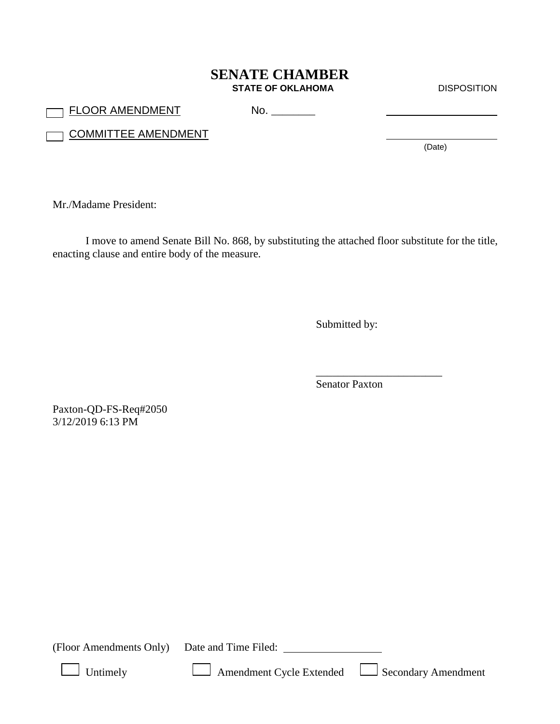## **SENATE CHAMBER STATE OF OKLAHOMA** DISPOSITION

FLOOR AMENDMENT No. \_\_\_\_\_\_\_\_

**COMMITTEE AMENDMENT** 

(Date)

Mr./Madame President:

I move to amend Senate Bill No. 868, by substituting the attached floor substitute for the title, enacting clause and entire body of the measure.

Submitted by:

Senator Paxton

\_\_\_\_\_\_\_\_\_\_\_\_\_\_\_\_\_\_\_\_\_\_\_

Paxton-QD-FS-Req#2050 3/12/2019 6:13 PM

(Floor Amendments Only) Date and Time Filed:

Untimely **Amendment Cycle Extended Secondary Amendment**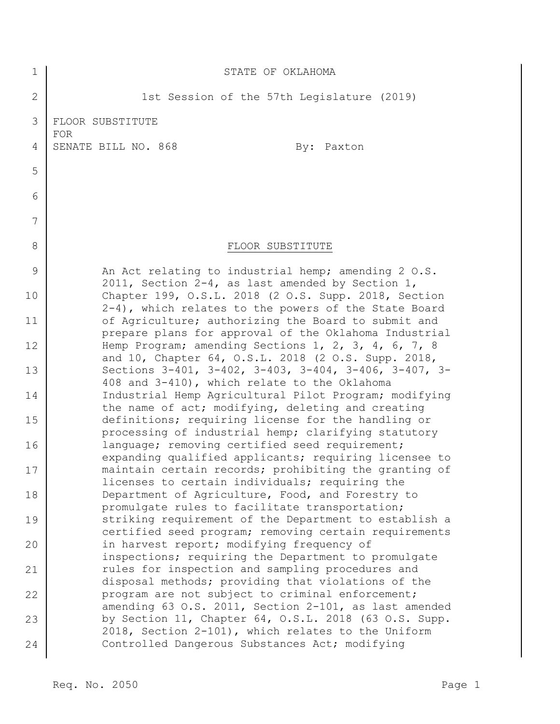| $\mathbf 1$  | STATE OF OKLAHOMA                                                                                              |
|--------------|----------------------------------------------------------------------------------------------------------------|
| $\mathbf{2}$ | 1st Session of the 57th Legislature (2019)                                                                     |
| 3            | FLOOR SUBSTITUTE<br><b>FOR</b>                                                                                 |
| 4            | SENATE BILL NO. 868<br>By: Paxton                                                                              |
| 5            |                                                                                                                |
| 6            |                                                                                                                |
| 7            |                                                                                                                |
| 8            | FLOOR SUBSTITUTE                                                                                               |
| 9            | An Act relating to industrial hemp; amending 2 O.S.<br>2011, Section 2-4, as last amended by Section 1,        |
| 10           | Chapter 199, O.S.L. 2018 (2 O.S. Supp. 2018, Section<br>2-4), which relates to the powers of the State Board   |
| 11           | of Agriculture; authorizing the Board to submit and<br>prepare plans for approval of the Oklahoma Industrial   |
| 12           | Hemp Program; amending Sections 1, 2, 3, 4, 6, 7, 8<br>and 10, Chapter 64, O.S.L. 2018 (2 O.S. Supp. 2018,     |
| 13           | Sections 3-401, 3-402, 3-403, 3-404, 3-406, 3-407, 3-<br>408 and 3-410), which relate to the Oklahoma          |
| 14           | Industrial Hemp Agricultural Pilot Program; modifying<br>the name of act; modifying, deleting and creating     |
| 15           | definitions; requiring license for the handling or<br>processing of industrial hemp; clarifying statutory      |
| 16           | language; removing certified seed requirement;<br>expanding qualified applicants; requiring licensee to        |
| 17           | maintain certain records; prohibiting the granting of<br>licenses to certain individuals; requiring the        |
| 18           | Department of Agriculture, Food, and Forestry to<br>promulgate rules to facilitate transportation;             |
| 19           | striking requirement of the Department to establish a<br>certified seed program; removing certain requirements |
| 20           | in harvest report; modifying frequency of<br>inspections; requiring the Department to promulgate               |
| 21           | rules for inspection and sampling procedures and<br>disposal methods; providing that violations of the         |
| 22           | program are not subject to criminal enforcement;<br>amending 63 O.S. 2011, Section 2-101, as last amended      |
| 23           | by Section 11, Chapter 64, O.S.L. 2018 (63 O.S. Supp.<br>2018, Section 2-101), which relates to the Uniform    |
| 24           | Controlled Dangerous Substances Act; modifying                                                                 |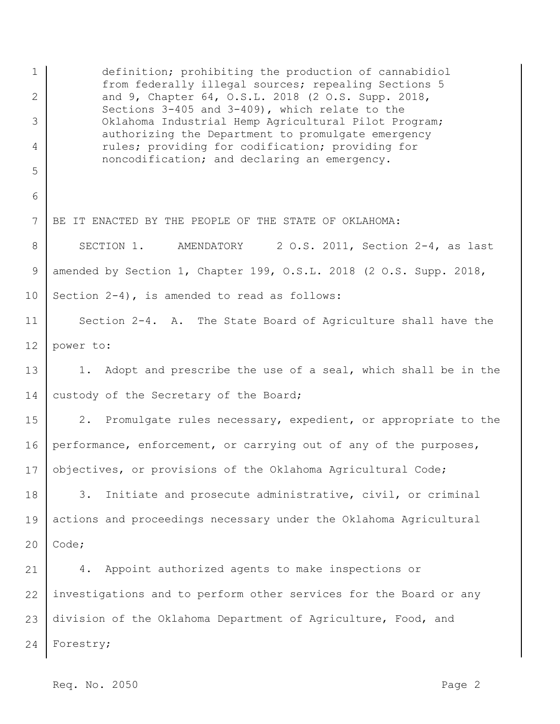1 2 3 4 5 6 7 8 9 10 11 12 13 14 15 16 17 18 19 20 21 22 23 24 definition; prohibiting the production of cannabidiol from federally illegal sources; repealing Sections 5 and 9, Chapter 64, O.S.L. 2018 (2 O.S. Supp. 2018, Sections 3-405 and 3-409), which relate to the Oklahoma Industrial Hemp Agricultural Pilot Program; authorizing the Department to promulgate emergency rules; providing for codification; providing for noncodification; and declaring an emergency. BE IT ENACTED BY THE PEOPLE OF THE STATE OF OKLAHOMA: SECTION 1. AMENDATORY 2 O.S. 2011, Section 2-4, as last amended by Section 1, Chapter 199, O.S.L. 2018 (2 O.S. Supp. 2018, Section 2-4), is amended to read as follows: Section 2-4. A. The State Board of Agriculture shall have the power to: 1. Adopt and prescribe the use of a seal, which shall be in the custody of the Secretary of the Board; 2. Promulgate rules necessary, expedient, or appropriate to the performance, enforcement, or carrying out of any of the purposes, objectives, or provisions of the Oklahoma Agricultural Code; 3. Initiate and prosecute administrative, civil, or criminal actions and proceedings necessary under the Oklahoma Agricultural Code; 4. Appoint authorized agents to make inspections or investigations and to perform other services for the Board or any division of the Oklahoma Department of Agriculture, Food, and Forestry;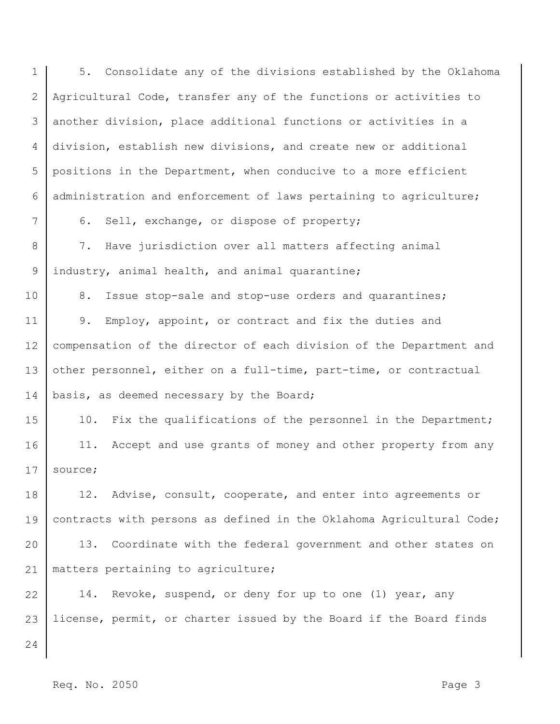1 2 3 4 5 6 7 8 9 10 11 12 13 14 15 16 17 18 19 20 21 22 23 24 5. Consolidate any of the divisions established by the Oklahoma Agricultural Code, transfer any of the functions or activities to another division, place additional functions or activities in a division, establish new divisions, and create new or additional positions in the Department, when conducive to a more efficient administration and enforcement of laws pertaining to agriculture; 6. Sell, exchange, or dispose of property; 7. Have jurisdiction over all matters affecting animal industry, animal health, and animal quarantine; 8. Issue stop-sale and stop-use orders and quarantines; 9. Employ, appoint, or contract and fix the duties and compensation of the director of each division of the Department and other personnel, either on a full-time, part-time, or contractual basis, as deemed necessary by the Board; 10. Fix the qualifications of the personnel in the Department; 11. Accept and use grants of money and other property from any source; 12. Advise, consult, cooperate, and enter into agreements or contracts with persons as defined in the Oklahoma Agricultural Code; 13. Coordinate with the federal government and other states on matters pertaining to agriculture; 14. Revoke, suspend, or deny for up to one (1) year, any license, permit, or charter issued by the Board if the Board finds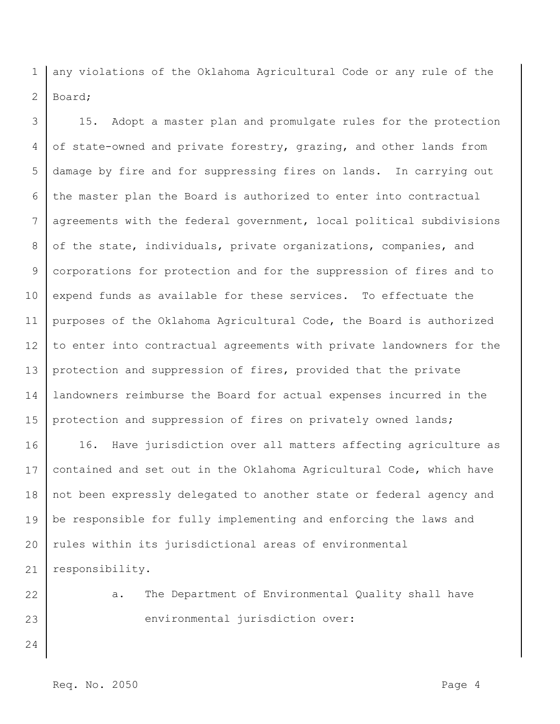1 2 any violations of the Oklahoma Agricultural Code or any rule of the Board;

3 4 5 6 7 8 9 10 11 12 13 14 15 15. Adopt a master plan and promulgate rules for the protection of state-owned and private forestry, grazing, and other lands from damage by fire and for suppressing fires on lands. In carrying out the master plan the Board is authorized to enter into contractual agreements with the federal government, local political subdivisions of the state, individuals, private organizations, companies, and corporations for protection and for the suppression of fires and to expend funds as available for these services. To effectuate the purposes of the Oklahoma Agricultural Code, the Board is authorized to enter into contractual agreements with private landowners for the protection and suppression of fires, provided that the private landowners reimburse the Board for actual expenses incurred in the protection and suppression of fires on privately owned lands;

16 17 18 19 20 21 16. Have jurisdiction over all matters affecting agriculture as contained and set out in the Oklahoma Agricultural Code, which have not been expressly delegated to another state or federal agency and be responsible for fully implementing and enforcing the laws and rules within its jurisdictional areas of environmental responsibility.

22

23

a. The Department of Environmental Quality shall have environmental jurisdiction over: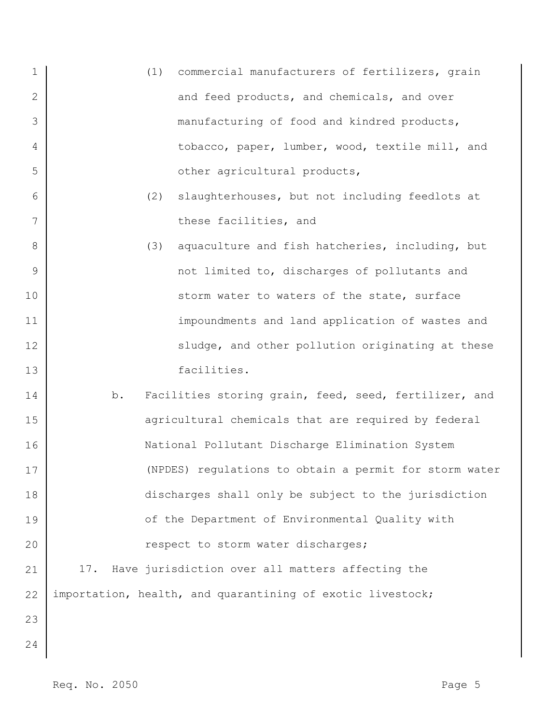- 1 2 3 4 5 (1) commercial manufacturers of fertilizers, grain and feed products, and chemicals, and over manufacturing of food and kindred products, tobacco, paper, lumber, wood, textile mill, and other agricultural products,
	- (2) slaughterhouses, but not including feedlots at these facilities, and
	- (3) aquaculture and fish hatcheries, including, but not limited to, discharges of pollutants and storm water to waters of the state, surface impoundments and land application of wastes and sludge, and other pollution originating at these facilities.
- 14 15 16 17 18 19 20 21 b. Facilities storing grain, feed, seed, fertilizer, and agricultural chemicals that are required by federal National Pollutant Discharge Elimination System (NPDES) regulations to obtain a permit for storm water discharges shall only be subject to the jurisdiction of the Department of Environmental Quality with respect to storm water discharges; 17. Have jurisdiction over all matters affecting the

importation, health, and quarantining of exotic livestock;

23

22

6

7

8

9

10

11

12

13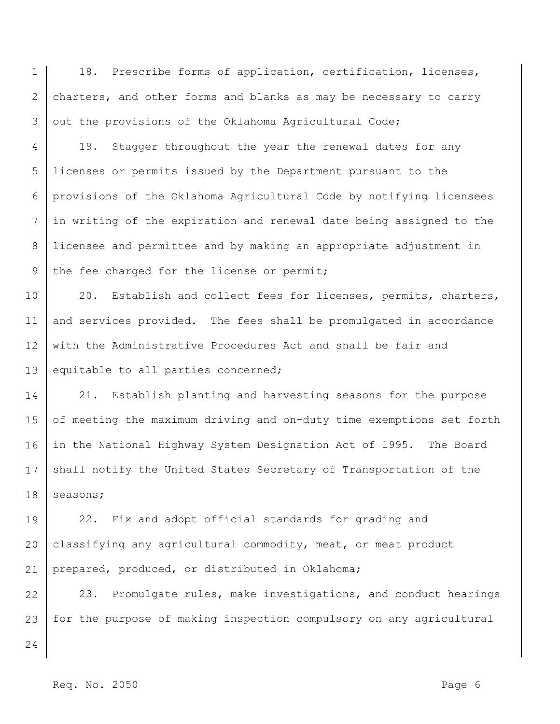1 2 3 18. Prescribe forms of application, certification, licenses, charters, and other forms and blanks as may be necessary to carry out the provisions of the Oklahoma Agricultural Code;

4 5 6 7 8 9 19. Stagger throughout the year the renewal dates for any licenses or permits issued by the Department pursuant to the provisions of the Oklahoma Agricultural Code by notifying licensees in writing of the expiration and renewal date being assigned to the licensee and permittee and by making an appropriate adjustment in the fee charged for the license or permit;

10 11 12 13 20. Establish and collect fees for licenses, permits, charters, and services provided. The fees shall be promulgated in accordance with the Administrative Procedures Act and shall be fair and equitable to all parties concerned;

14 15 16 17 18 21. Establish planting and harvesting seasons for the purpose of meeting the maximum driving and on-duty time exemptions set forth in the National Highway System Designation Act of 1995. The Board shall notify the United States Secretary of Transportation of the seasons;

19 20 21 22. Fix and adopt official standards for grading and classifying any agricultural commodity, meat, or meat product prepared, produced, or distributed in Oklahoma;

22 23 23. Promulgate rules, make investigations, and conduct hearings for the purpose of making inspection compulsory on any agricultural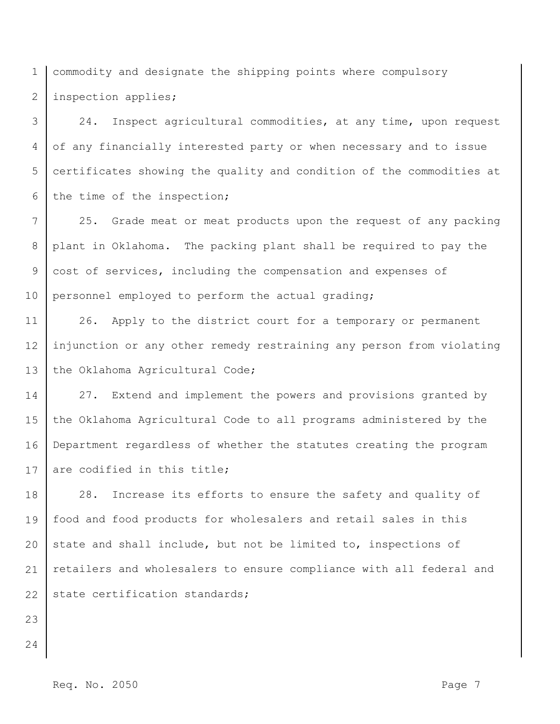1 2 commodity and designate the shipping points where compulsory inspection applies;

3 4 5 6 24. Inspect agricultural commodities, at any time, upon request of any financially interested party or when necessary and to issue certificates showing the quality and condition of the commodities at the time of the inspection;

7 8 9 10 25. Grade meat or meat products upon the request of any packing plant in Oklahoma. The packing plant shall be required to pay the cost of services, including the compensation and expenses of personnel employed to perform the actual grading;

11 12 13 26. Apply to the district court for a temporary or permanent injunction or any other remedy restraining any person from violating the Oklahoma Agricultural Code;

14 15 16 17 27. Extend and implement the powers and provisions granted by the Oklahoma Agricultural Code to all programs administered by the Department regardless of whether the statutes creating the program are codified in this title;

18 19 20 21 22 28. Increase its efforts to ensure the safety and quality of food and food products for wholesalers and retail sales in this state and shall include, but not be limited to, inspections of retailers and wholesalers to ensure compliance with all federal and state certification standards;

- 23
- 24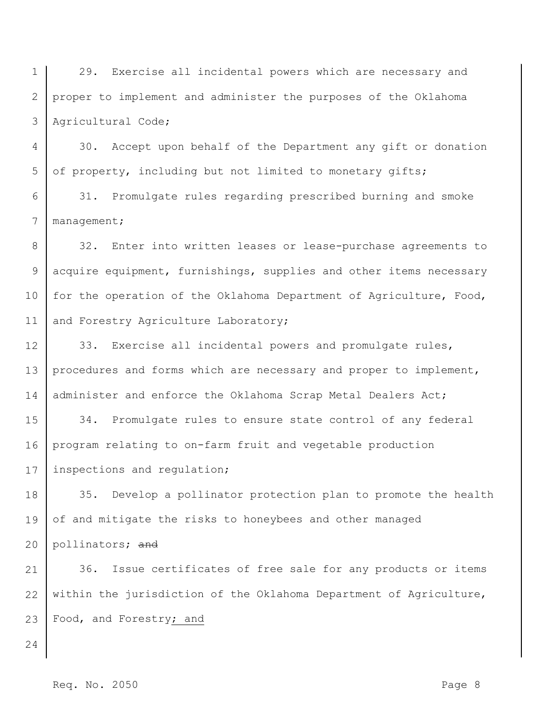1 2 3 29. Exercise all incidental powers which are necessary and proper to implement and administer the purposes of the Oklahoma Agricultural Code;

4 5 30. Accept upon behalf of the Department any gift or donation of property, including but not limited to monetary gifts;

6 7 31. Promulgate rules regarding prescribed burning and smoke management;

8 9 10 11 32. Enter into written leases or lease-purchase agreements to acquire equipment, furnishings, supplies and other items necessary for the operation of the Oklahoma Department of Agriculture, Food, and Forestry Agriculture Laboratory;

12 13 14 33. Exercise all incidental powers and promulgate rules, procedures and forms which are necessary and proper to implement, administer and enforce the Oklahoma Scrap Metal Dealers Act;

15 16 17 34. Promulgate rules to ensure state control of any federal program relating to on-farm fruit and vegetable production inspections and regulation;

18 19 35. Develop a pollinator protection plan to promote the health of and mitigate the risks to honeybees and other managed

20 pollinators; and

21 22 23 36. Issue certificates of free sale for any products or items within the jurisdiction of the Oklahoma Department of Agriculture, Food, and Forestry; and

24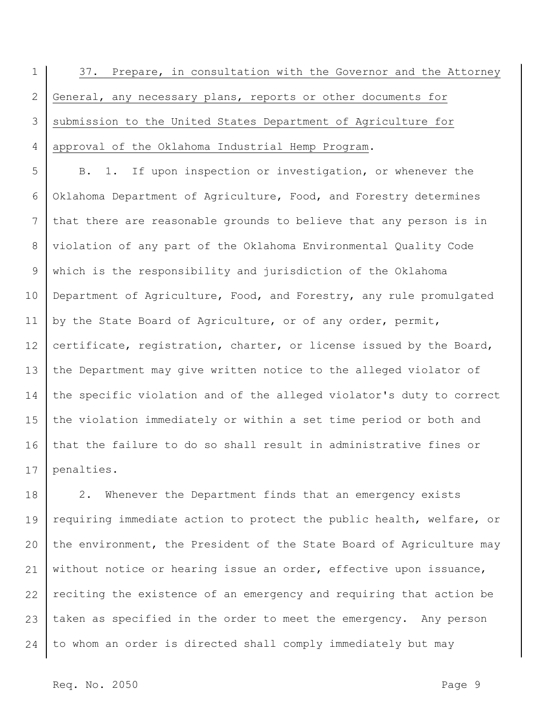1 2 3 4 37. Prepare, in consultation with the Governor and the Attorney General, any necessary plans, reports or other documents for submission to the United States Department of Agriculture for approval of the Oklahoma Industrial Hemp Program.

5 6 7 8 9 10 11 12 13 14 15 16 17 B. 1. If upon inspection or investigation, or whenever the Oklahoma Department of Agriculture, Food, and Forestry determines that there are reasonable grounds to believe that any person is in violation of any part of the Oklahoma Environmental Quality Code which is the responsibility and jurisdiction of the Oklahoma Department of Agriculture, Food, and Forestry, any rule promulgated by the State Board of Agriculture, or of any order, permit, certificate, registration, charter, or license issued by the Board, the Department may give written notice to the alleged violator of the specific violation and of the alleged violator's duty to correct the violation immediately or within a set time period or both and that the failure to do so shall result in administrative fines or penalties.

18 19 20 21 22 23 24 2. Whenever the Department finds that an emergency exists requiring immediate action to protect the public health, welfare, or the environment, the President of the State Board of Agriculture may without notice or hearing issue an order, effective upon issuance, reciting the existence of an emergency and requiring that action be taken as specified in the order to meet the emergency. Any person to whom an order is directed shall comply immediately but may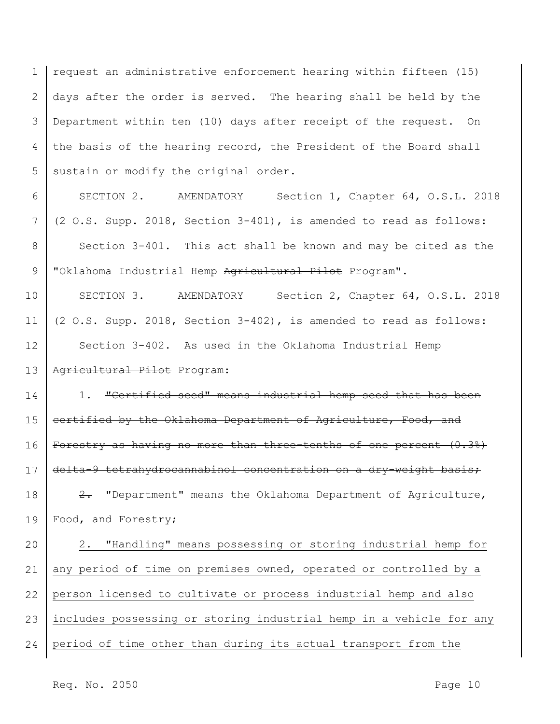1 2 3 4 5 request an administrative enforcement hearing within fifteen (15) days after the order is served. The hearing shall be held by the Department within ten (10) days after receipt of the request. On the basis of the hearing record, the President of the Board shall sustain or modify the original order.

6 7 8 9 SECTION 2. AMENDATORY Section 1, Chapter 64, O.S.L. 2018 (2 O.S. Supp. 2018, Section 3-401), is amended to read as follows: Section 3-401. This act shall be known and may be cited as the "Oklahoma Industrial Hemp Agricultural Pilot Program".

10 11 12 13 SECTION 3. AMENDATORY Section 2, Chapter 64, O.S.L. 2018 (2 O.S. Supp. 2018, Section 3-402), is amended to read as follows: Section 3-402. As used in the Oklahoma Industrial Hemp Agricultural Pilot Program:

14 15 16 17 18 19 1. "Certified seed" means industrial hemp seed that has been certified by the Oklahoma Department of Agriculture, Food, and Forestry as having no more than three-tenths of one percent (0.3%) delta-9 tetrahydrocannabinol concentration on a dry-weight basis; 2. "Department" means the Oklahoma Department of Agriculture, Food, and Forestry;

20 21 22 23 24 2. "Handling" means possessing or storing industrial hemp for any period of time on premises owned, operated or controlled by a person licensed to cultivate or process industrial hemp and also includes possessing or storing industrial hemp in a vehicle for any period of time other than during its actual transport from the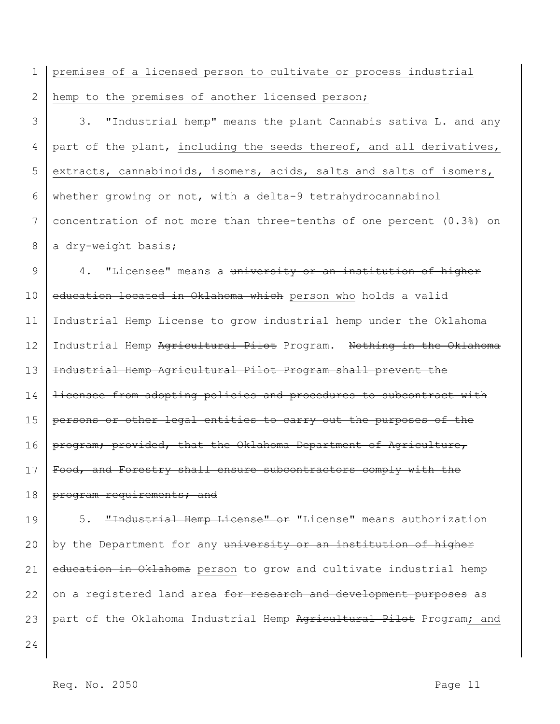1 2 premises of a licensed person to cultivate or process industrial hemp to the premises of another licensed person;

3 4 5 6 7 8 3. "Industrial hemp" means the plant Cannabis sativa L. and any part of the plant, including the seeds thereof, and all derivatives, extracts, cannabinoids, isomers, acids, salts and salts of isomers, whether growing or not, with a delta-9 tetrahydrocannabinol concentration of not more than three-tenths of one percent (0.3%) on a dry-weight basis;

9 10 11 12 13 14 15 16 17 18 4. "Licensee" means a university or an institution of higher education located in Oklahoma which person who holds a valid Industrial Hemp License to grow industrial hemp under the Oklahoma Industrial Hemp Agricultural Pilot Program. Nothing in the Oklahoma Industrial Hemp Agricultural Pilot Program shall prevent the licensee from adopting policies and procedures to subcontract with persons or other legal entities to carry out the purposes of the program; provided, that the Oklahoma Department of Agriculture, Food, and Forestry shall ensure subcontractors comply with the program requirements; and

19 20 21 22 23 5. "Industrial Hemp License" or "License" means authorization by the Department for any university or an institution of higher education in Oklahoma person to grow and cultivate industrial hemp on a registered land area for research and development purposes as part of the Oklahoma Industrial Hemp Agricultural Pilot Program; and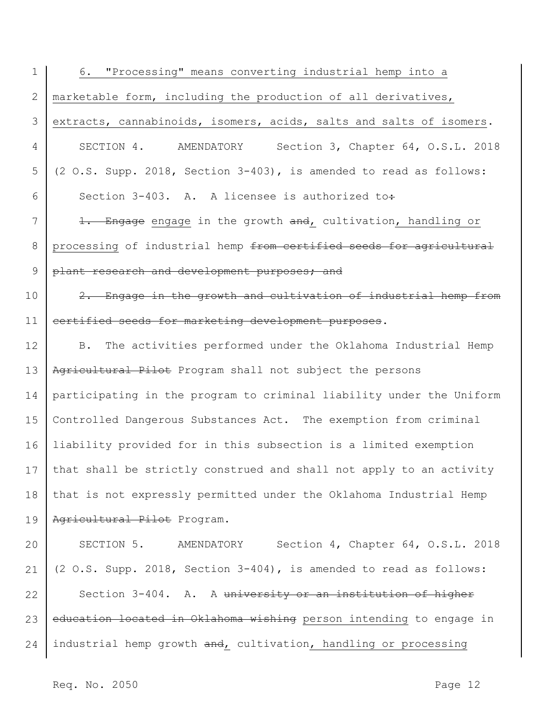| $\mathbf 1$   | 6. "Processing" means converting industrial hemp into a                   |
|---------------|---------------------------------------------------------------------------|
| $\mathbf{2}$  | marketable form, including the production of all derivatives,             |
| 3             | extracts, cannabinoids, isomers, acids, salts and salts of isomers.       |
| 4             | SECTION 4. AMENDATORY<br>Section 3, Chapter 64, O.S.L. 2018               |
| 5             | (2 O.S. Supp. 2018, Section 3-403), is amended to read as follows:        |
| 6             | Section 3-403. A. A licensee is authorized to:                            |
| 7             | 1. Engage engage in the growth and, cultivation, handling or              |
| 8             | processing of industrial hemp from cortified seeds for agricultural       |
| $\mathcal{G}$ | plant research and development purposes; and                              |
| 10            | 2. Engage in the growth and cultivation of industrial hemp from           |
| 11            | certified seeds for marketing development purposes.                       |
| 12            | The activities performed under the Oklahoma Industrial Hemp<br><b>B</b> . |
| 13            | Agricultural Pilot Program shall not subject the persons                  |
| 14            | participating in the program to criminal liability under the Uniform      |
| 15            | Controlled Dangerous Substances Act. The exemption from criminal          |
| 16            | liability provided for in this subsection is a limited exemption          |
| 17            | that shall be strictly construed and shall not apply to an activity       |
| 18            | that is not expressly permitted under the Oklahoma Industrial Hemp        |
| 19            | Agricultural Pilot Program.                                               |
| 20            | SECTION 5. AMENDATORY Section 4, Chapter 64, O.S.L. 2018                  |
| 21            | (2 O.S. Supp. 2018, Section 3-404), is amended to read as follows:        |
| 22            | Section 3-404. A. A university or an institution of higher                |
| 23            | education located in Oklahoma wishing person intending to engage in       |
| 24            | industrial hemp growth and, cultivation, handling or processing           |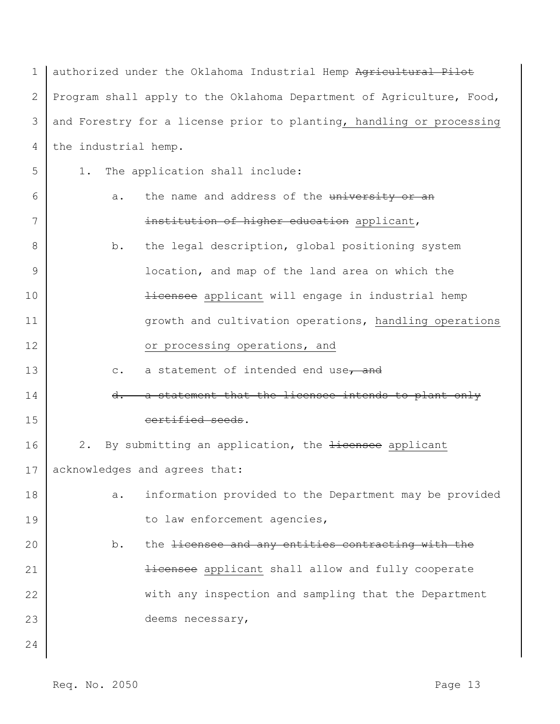| $\mathbf 1$ | authorized under the Oklahoma Industrial Hemp Agricultural Pilot      |
|-------------|-----------------------------------------------------------------------|
| 2           | Program shall apply to the Oklahoma Department of Agriculture, Food,  |
| 3           | and Forestry for a license prior to planting, handling or processing  |
| 4           | the industrial hemp.                                                  |
| 5           | The application shall include:<br>1.                                  |
| 6           | the name and address of the university or an<br>a.                    |
| 7           | institution of higher education applicant,                            |
| 8           | the legal description, global positioning system<br>b.                |
| 9           | location, and map of the land area on which the                       |
| 10          | Hicensee applicant will engage in industrial hemp                     |
| 11          | growth and cultivation operations, handling operations                |
| 12          | or processing operations, and                                         |
| 13          | a statement of intended end use, and<br>$\mathtt{C}$ .                |
| 14          | a statement that the licensee intends to plant only<br>$d$ .          |
| 15          | certified seeds.                                                      |
| 16          | By submitting an application, the <del>licensee</del> applicant<br>2. |
| 17          | acknowledges and agrees that:                                         |
| 18          | information provided to the Department may be provided<br>a.          |
| 19          | to law enforcement agencies,                                          |
| 20          | the licensee and any entities contracting with the<br>b.              |
| 21          | Hicensee applicant shall allow and fully cooperate                    |
| 22          | with any inspection and sampling that the Department                  |
| 23          | deems necessary,                                                      |
| 24          |                                                                       |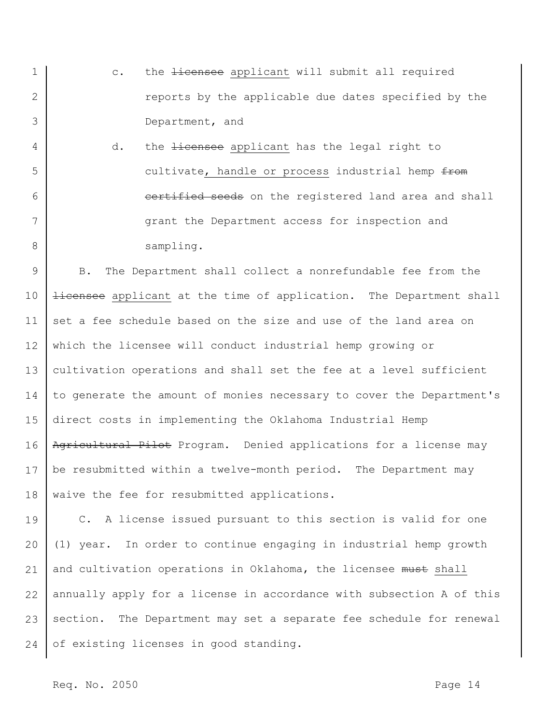- 1 2 3 c. the *licensee* applicant will submit all required reports by the applicable due dates specified by the Department, and
- 4 5 6 7 8 d. the <del>licensee</del> applicant has the legal right to cultivate, handle or process industrial hemp from certified seeds on the registered land area and shall grant the Department access for inspection and sampling.

9 10 11 12 13 14 15 16 17 18 B. The Department shall collect a nonrefundable fee from the **licensee** applicant at the time of application. The Department shall set a fee schedule based on the size and use of the land area on which the licensee will conduct industrial hemp growing or cultivation operations and shall set the fee at a level sufficient to generate the amount of monies necessary to cover the Department's direct costs in implementing the Oklahoma Industrial Hemp Agricultural Pilot Program. Denied applications for a license may be resubmitted within a twelve-month period. The Department may waive the fee for resubmitted applications.

19 20 21 22 23 24 C. A license issued pursuant to this section is valid for one (1) year. In order to continue engaging in industrial hemp growth and cultivation operations in Oklahoma, the licensee must shall annually apply for a license in accordance with subsection A of this section. The Department may set a separate fee schedule for renewal of existing licenses in good standing.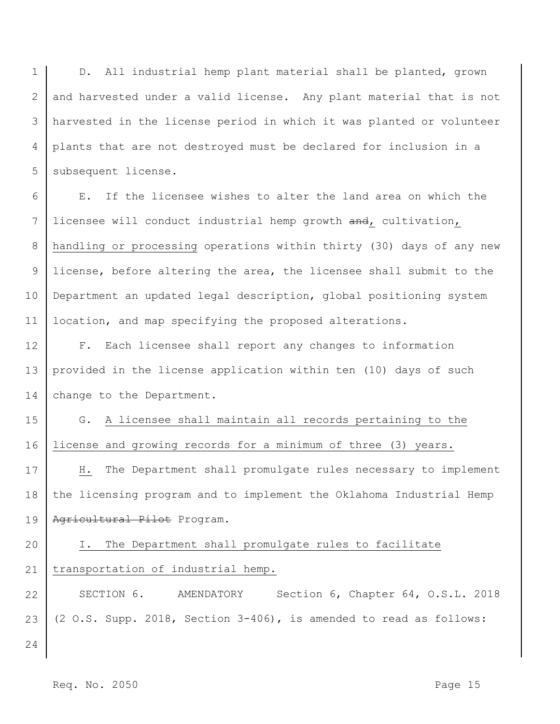1 2 3 4 5 D. All industrial hemp plant material shall be planted, grown and harvested under a valid license. Any plant material that is not harvested in the license period in which it was planted or volunteer plants that are not destroyed must be declared for inclusion in a subsequent license.

6 7 8 9 10 11 E. If the licensee wishes to alter the land area on which the licensee will conduct industrial hemp growth and, cultivation, handling or processing operations within thirty (30) days of any new license, before altering the area, the licensee shall submit to the Department an updated legal description, global positioning system location, and map specifying the proposed alterations.

12 13 14 F. Each licensee shall report any changes to information provided in the license application within ten (10) days of such change to the Department.

15 16 G. A licensee shall maintain all records pertaining to the license and growing records for a minimum of three (3) years.

17 18 19 H. The Department shall promulgate rules necessary to implement the licensing program and to implement the Oklahoma Industrial Hemp Agricultural Pilot Program.

## 20 21 I. The Department shall promulgate rules to facilitate transportation of industrial hemp.

22 23 SECTION 6. AMENDATORY Section 6, Chapter 64, O.S.L. 2018 (2 O.S. Supp. 2018, Section 3-406), is amended to read as follows: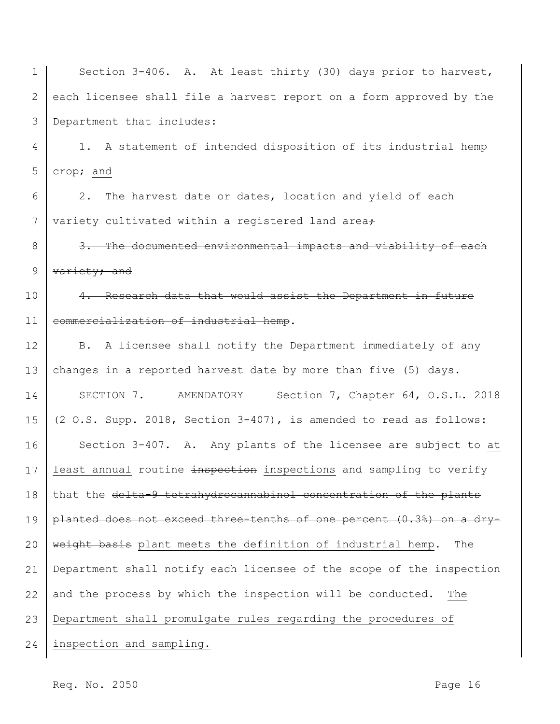1 2 3 4 5 6 7 8 9 10 11 12 13 14 15 16 17 18 19 20 21 22 23 24 Section 3-406. A. At least thirty (30) days prior to harvest, each licensee shall file a harvest report on a form approved by the Department that includes: 1. A statement of intended disposition of its industrial hemp crop; and 2. The harvest date or dates, location and yield of each variety cultivated within a registered land area+ 3. The documented environmental impacts and viability of each variety; and 4. Research data that would assist the Department in future commercialization of industrial hemp. B. A licensee shall notify the Department immediately of any changes in a reported harvest date by more than five (5) days. SECTION 7. AMENDATORY Section 7, Chapter 64, O.S.L. 2018 (2 O.S. Supp. 2018, Section 3-407), is amended to read as follows: Section 3-407. A. Any plants of the licensee are subject to at least annual routine inspection inspections and sampling to verify that the delta-9 tetrahydrocannabinol concentration of the plants planted does not exceed three-tenths of one percent (0.3%) on a dryweight basis plant meets the definition of industrial hemp. The Department shall notify each licensee of the scope of the inspection and the process by which the inspection will be conducted. The Department shall promulgate rules regarding the procedures of inspection and sampling.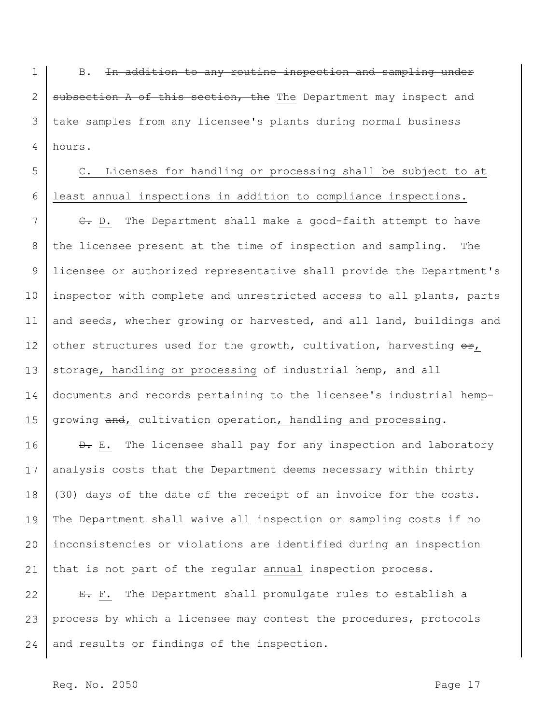1 2 3 4 B. In addition to any routine inspection and sampling under subsection A of this section, the The Department may inspect and take samples from any licensee's plants during normal business hours.

5 6 C. Licenses for handling or processing shall be subject to at least annual inspections in addition to compliance inspections.

7 8 9 10 11 12 13 14 15 E. D. The Department shall make a good-faith attempt to have the licensee present at the time of inspection and sampling. The licensee or authorized representative shall provide the Department's inspector with complete and unrestricted access to all plants, parts and seeds, whether growing or harvested, and all land, buildings and other structures used for the growth, cultivation, harvesting  $\Theta$ r, storage, handling or processing of industrial hemp, and all documents and records pertaining to the licensee's industrial hempgrowing and, cultivation operation, handling and processing.

16 17 18 19 20 21  $\theta$ . E. The licensee shall pay for any inspection and laboratory analysis costs that the Department deems necessary within thirty (30) days of the date of the receipt of an invoice for the costs. The Department shall waive all inspection or sampling costs if no inconsistencies or violations are identified during an inspection that is not part of the regular annual inspection process.

22 23 24 E. F. The Department shall promulgate rules to establish a process by which a licensee may contest the procedures, protocols and results or findings of the inspection.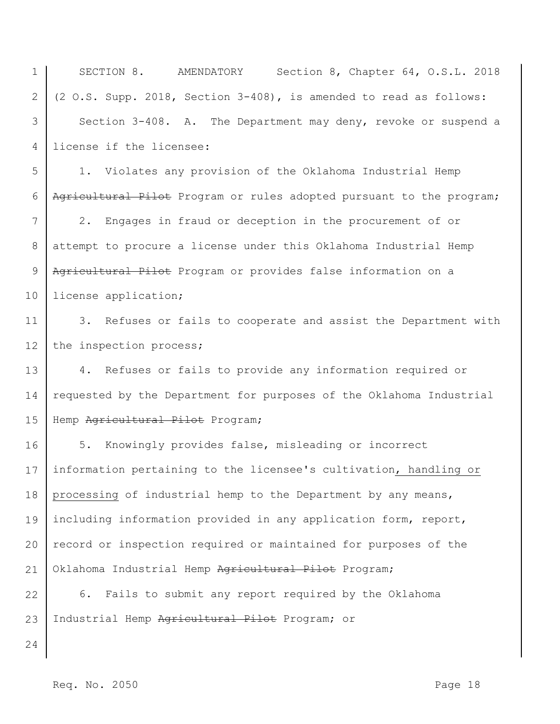1 2 3 4 5 6 7 8 9 10 11 12 SECTION 8. AMENDATORY Section 8, Chapter 64, O.S.L. 2018 (2 O.S. Supp. 2018, Section 3-408), is amended to read as follows: Section 3-408. A. The Department may deny, revoke or suspend a license if the licensee: 1. Violates any provision of the Oklahoma Industrial Hemp Agricultural Pilot Program or rules adopted pursuant to the program; 2. Engages in fraud or deception in the procurement of or attempt to procure a license under this Oklahoma Industrial Hemp Agricultural Pilot Program or provides false information on a license application; 3. Refuses or fails to cooperate and assist the Department with the inspection process;

13 14 15 4. Refuses or fails to provide any information required or requested by the Department for purposes of the Oklahoma Industrial Hemp Agricultural Pilot Program;

16 17 18 19 20 21 5. Knowingly provides false, misleading or incorrect information pertaining to the licensee's cultivation, handling or processing of industrial hemp to the Department by any means, including information provided in any application form, report, record or inspection required or maintained for purposes of the Oklahoma Industrial Hemp Agricultural Pilot Program;

22 23 6. Fails to submit any report required by the Oklahoma Industrial Hemp Agricultural Pilot Program; or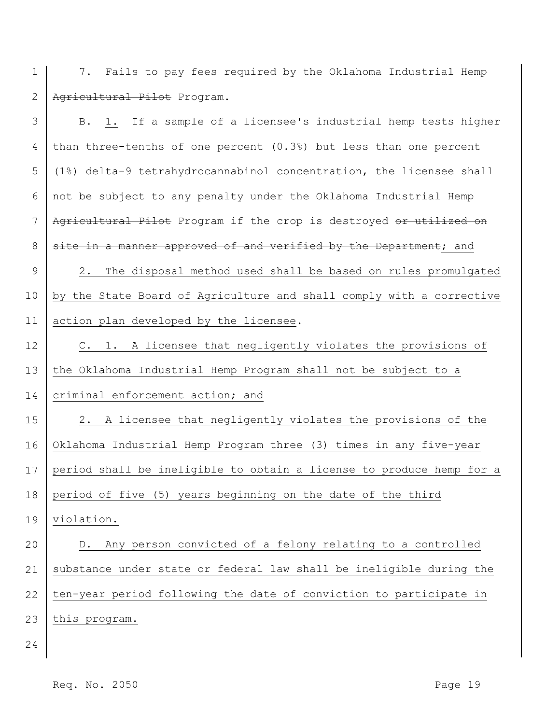1 7. Fails to pay fees required by the Oklahoma Industrial Hemp 2 Agricultural Pilot Program.

| 3                    | B. 1. If a sample of a licensee's industrial hemp tests higher       |
|----------------------|----------------------------------------------------------------------|
| 4                    | than three-tenths of one percent (0.3%) but less than one percent    |
| 5                    | (1%) delta-9 tetrahydrocannabinol concentration, the licensee shall  |
| 6                    | not be subject to any penalty under the Oklahoma Industrial Hemp     |
| $7\phantom{.0}$      | Agricultural Pilot Program if the crop is destroyed or utilized on   |
| 8                    | site in a manner approved of and verified by the Department; and     |
| $\mathcal{G}$        | 2. The disposal method used shall be based on rules promulgated      |
| 10                   | by the State Board of Agriculture and shall comply with a corrective |
| 11                   | action plan developed by the licensee.                               |
| 12                   | C. 1. A licensee that negligently violates the provisions of         |
| 13                   | the Oklahoma Industrial Hemp Program shall not be subject to a       |
| 14                   | criminal enforcement action; and                                     |
| 15                   | 2. A licensee that negligently violates the provisions of the        |
|                      |                                                                      |
|                      | Oklahoma Industrial Hemp Program three (3) times in any five-year    |
|                      | period shall be ineligible to obtain a license to produce hemp for a |
|                      | period of five (5) years beginning on the date of the third          |
|                      | 19 violation.                                                        |
| 16<br>17<br>18<br>20 | D. Any person convicted of a felony relating to a controlled         |
| 21                   | substance under state or federal law shall be ineligible during the  |
| 22                   | ten-year period following the date of conviction to participate in   |
| 23                   | this program.                                                        |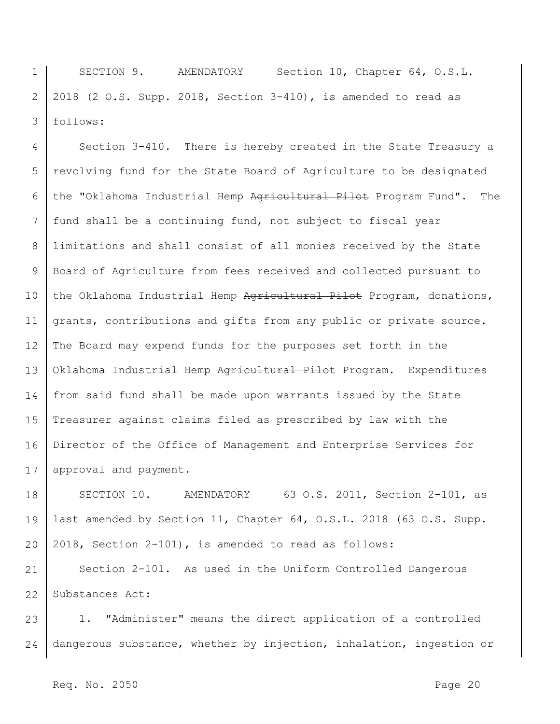1 2 3 SECTION 9. AMENDATORY Section 10, Chapter 64, O.S.L. 2018 (2 O.S. Supp. 2018, Section 3-410), is amended to read as follows:

4 5 6 7 8 9 10 11 12 13 14 15 16 17 Section 3-410. There is hereby created in the State Treasury a revolving fund for the State Board of Agriculture to be designated the "Oklahoma Industrial Hemp Agricultural Pilot Program Fund". The fund shall be a continuing fund, not subject to fiscal year limitations and shall consist of all monies received by the State Board of Agriculture from fees received and collected pursuant to the Oklahoma Industrial Hemp Agricultural Pilot Program, donations, grants, contributions and gifts from any public or private source. The Board may expend funds for the purposes set forth in the Oklahoma Industrial Hemp Agricultural Pilot Program. Expenditures from said fund shall be made upon warrants issued by the State Treasurer against claims filed as prescribed by law with the Director of the Office of Management and Enterprise Services for approval and payment.

18 19 20 SECTION 10. AMENDATORY 63 O.S. 2011, Section 2-101, as last amended by Section 11, Chapter 64, O.S.L. 2018 (63 O.S. Supp. 2018, Section 2-101), is amended to read as follows:

21 22 Section 2-101. As used in the Uniform Controlled Dangerous Substances Act:

23 24 1. "Administer" means the direct application of a controlled dangerous substance, whether by injection, inhalation, ingestion or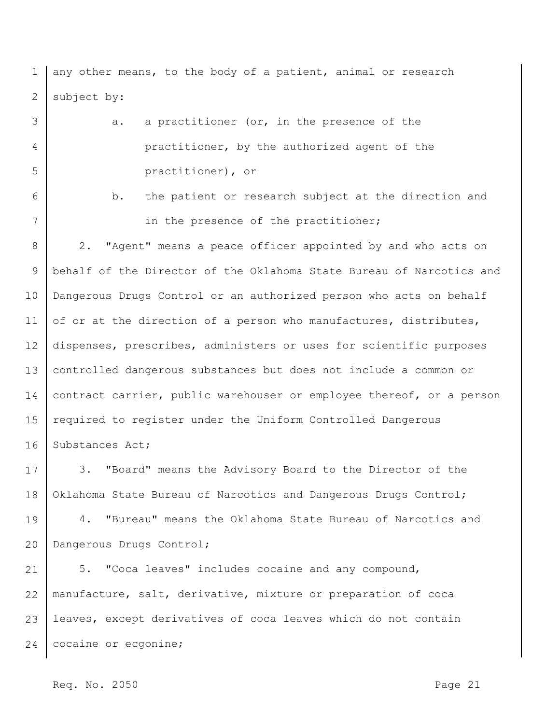1 2 any other means, to the body of a patient, animal or research subject by:

3 4 5 a. a practitioner (or, in the presence of the practitioner, by the authorized agent of the practitioner), or

6

7

b. the patient or research subject at the direction and in the presence of the practitioner;

8 9 10 11 12 13 14 15 16 2. "Agent" means a peace officer appointed by and who acts on behalf of the Director of the Oklahoma State Bureau of Narcotics and Dangerous Drugs Control or an authorized person who acts on behalf of or at the direction of a person who manufactures, distributes, dispenses, prescribes, administers or uses for scientific purposes controlled dangerous substances but does not include a common or contract carrier, public warehouser or employee thereof, or a person required to register under the Uniform Controlled Dangerous Substances Act;

17 18 3. "Board" means the Advisory Board to the Director of the Oklahoma State Bureau of Narcotics and Dangerous Drugs Control;

19 20 4. "Bureau" means the Oklahoma State Bureau of Narcotics and Dangerous Drugs Control;

21 22 23 24 5. "Coca leaves" includes cocaine and any compound, manufacture, salt, derivative, mixture or preparation of coca leaves, except derivatives of coca leaves which do not contain cocaine or ecgonine;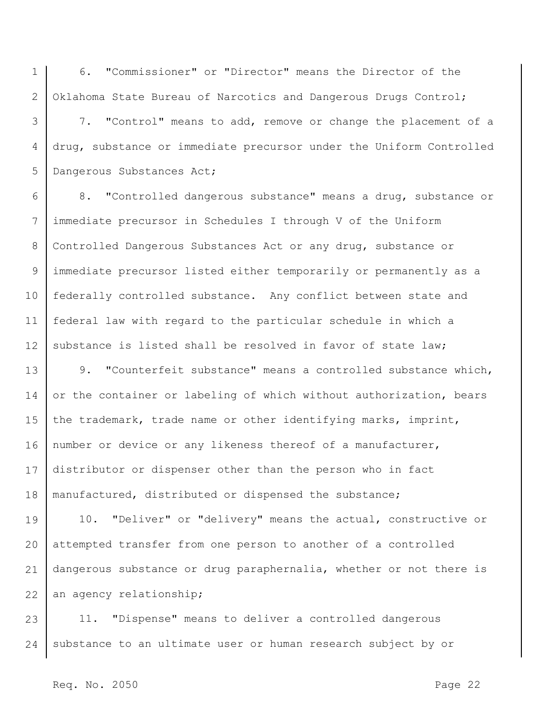1 2 6. "Commissioner" or "Director" means the Director of the Oklahoma State Bureau of Narcotics and Dangerous Drugs Control;

3 4 5 7. "Control" means to add, remove or change the placement of a drug, substance or immediate precursor under the Uniform Controlled Dangerous Substances Act;

6 7 8 9 10 11 12 8. "Controlled dangerous substance" means a drug, substance or immediate precursor in Schedules I through V of the Uniform Controlled Dangerous Substances Act or any drug, substance or immediate precursor listed either temporarily or permanently as a federally controlled substance. Any conflict between state and federal law with regard to the particular schedule in which a substance is listed shall be resolved in favor of state law;

13 14 15 16 17 18 9. "Counterfeit substance" means a controlled substance which, or the container or labeling of which without authorization, bears the trademark, trade name or other identifying marks, imprint, number or device or any likeness thereof of a manufacturer, distributor or dispenser other than the person who in fact manufactured, distributed or dispensed the substance;

19 20 21 22 10. "Deliver" or "delivery" means the actual, constructive or attempted transfer from one person to another of a controlled dangerous substance or drug paraphernalia, whether or not there is an agency relationship;

23 24 11. "Dispense" means to deliver a controlled dangerous substance to an ultimate user or human research subject by or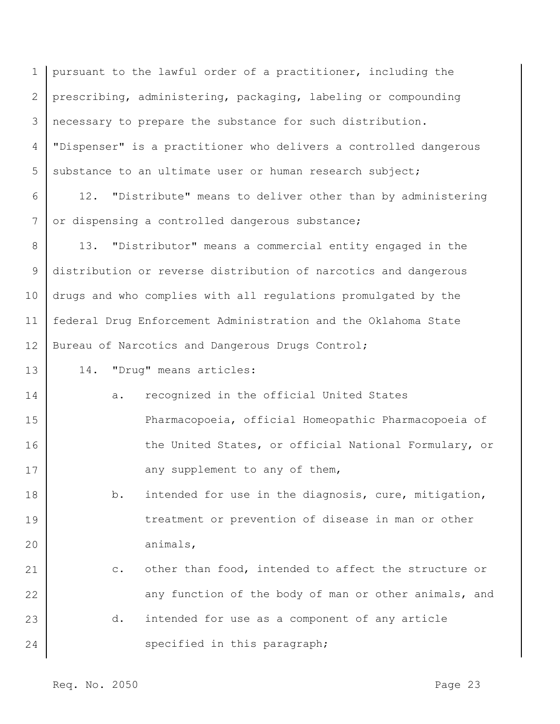1 2 3 4 5 pursuant to the lawful order of a practitioner, including the prescribing, administering, packaging, labeling or compounding necessary to prepare the substance for such distribution. "Dispenser" is a practitioner who delivers a controlled dangerous substance to an ultimate user or human research subject;

6 7 12. "Distribute" means to deliver other than by administering or dispensing a controlled dangerous substance;

8 9 10 11 12 13. "Distributor" means a commercial entity engaged in the distribution or reverse distribution of narcotics and dangerous drugs and who complies with all regulations promulgated by the federal Drug Enforcement Administration and the Oklahoma State Bureau of Narcotics and Dangerous Drugs Control;

- 13 14. "Drug" means articles:
- 14 15 16 17 a. recognized in the official United States Pharmacopoeia, official Homeopathic Pharmacopoeia of the United States, or official National Formulary, or any supplement to any of them,
- 18 19 20 b. intended for use in the diagnosis, cure, mitigation, treatment or prevention of disease in man or other animals,
- 21 22 23 24 c. other than food, intended to affect the structure or any function of the body of man or other animals, and d. intended for use as a component of any article specified in this paragraph;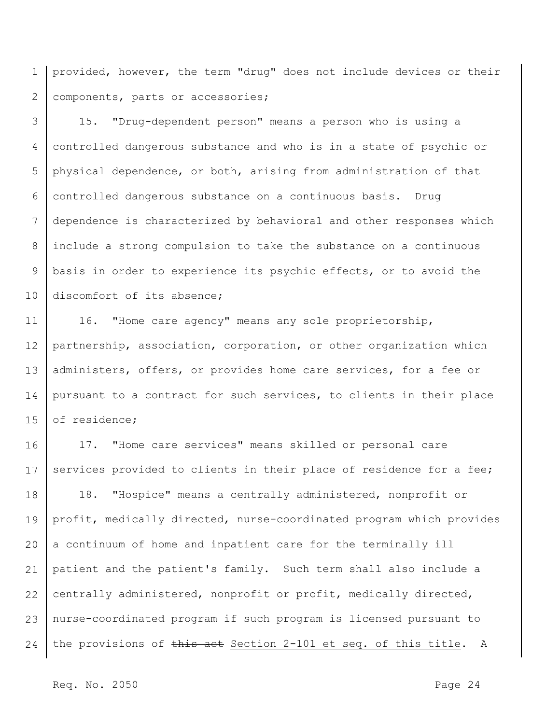1 2 provided, however, the term "drug" does not include devices or their components, parts or accessories;

3 4 5 6 7 8 9 10 15. "Drug-dependent person" means a person who is using a controlled dangerous substance and who is in a state of psychic or physical dependence, or both, arising from administration of that controlled dangerous substance on a continuous basis. Drug dependence is characterized by behavioral and other responses which include a strong compulsion to take the substance on a continuous basis in order to experience its psychic effects, or to avoid the discomfort of its absence;

11 12 13 14 15 16. "Home care agency" means any sole proprietorship, partnership, association, corporation, or other organization which administers, offers, or provides home care services, for a fee or pursuant to a contract for such services, to clients in their place of residence;

16 17 18 19 20 21 22 23 24 17. "Home care services" means skilled or personal care services provided to clients in their place of residence for a fee; 18. "Hospice" means a centrally administered, nonprofit or profit, medically directed, nurse-coordinated program which provides a continuum of home and inpatient care for the terminally ill patient and the patient's family. Such term shall also include a centrally administered, nonprofit or profit, medically directed, nurse-coordinated program if such program is licensed pursuant to the provisions of this act Section 2-101 et seq. of this title. A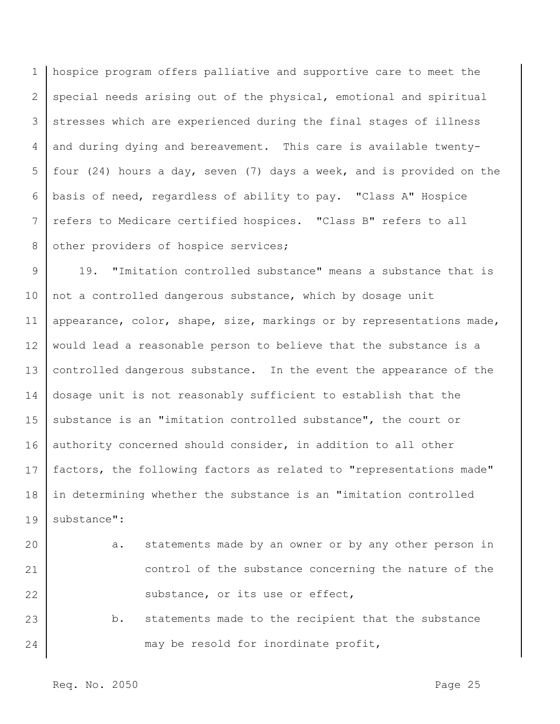1 2 3 4 5 6 7 8 hospice program offers palliative and supportive care to meet the special needs arising out of the physical, emotional and spiritual stresses which are experienced during the final stages of illness and during dying and bereavement. This care is available twentyfour (24) hours a day, seven (7) days a week, and is provided on the basis of need, regardless of ability to pay. "Class A" Hospice refers to Medicare certified hospices. "Class B" refers to all other providers of hospice services;

9 10 11 12 13 14 15 16 17 18 19 19. "Imitation controlled substance" means a substance that is not a controlled dangerous substance, which by dosage unit appearance, color, shape, size, markings or by representations made, would lead a reasonable person to believe that the substance is a controlled dangerous substance. In the event the appearance of the dosage unit is not reasonably sufficient to establish that the substance is an "imitation controlled substance", the court or authority concerned should consider, in addition to all other factors, the following factors as related to "representations made" in determining whether the substance is an "imitation controlled substance":

20 21 22 23 24 a. statements made by an owner or by any other person in control of the substance concerning the nature of the substance, or its use or effect, b. statements made to the recipient that the substance may be resold for inordinate profit,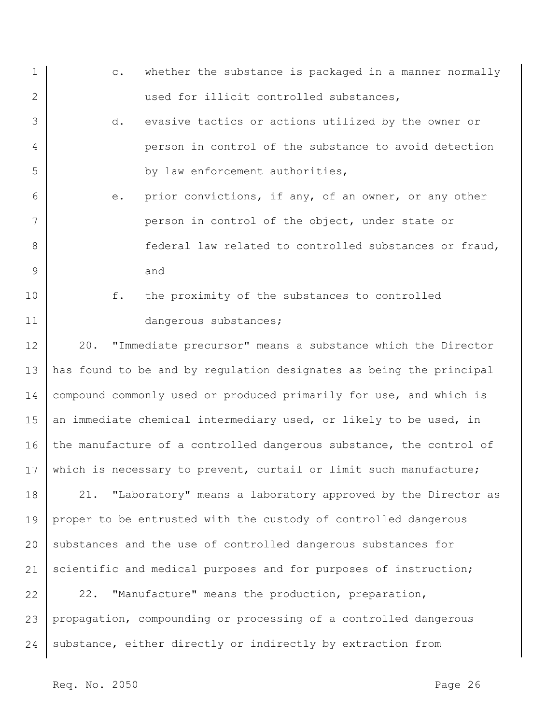- 1 2 3 4 c. whether the substance is packaged in a manner normally used for illicit controlled substances, d. evasive tactics or actions utilized by the owner or person in control of the substance to avoid detection
- 5 6 7 by law enforcement authorities, e. prior convictions, if any, of an owner, or any other
- 8 9 person in control of the object, under state or federal law related to controlled substances or fraud, and
- 10 11 f. the proximity of the substances to controlled dangerous substances;

12 13 14 15 16 17 18 19 20 21 20. "Immediate precursor" means a substance which the Director has found to be and by regulation designates as being the principal compound commonly used or produced primarily for use, and which is an immediate chemical intermediary used, or likely to be used, in the manufacture of a controlled dangerous substance, the control of which is necessary to prevent, curtail or limit such manufacture; 21. "Laboratory" means a laboratory approved by the Director as proper to be entrusted with the custody of controlled dangerous substances and the use of controlled dangerous substances for scientific and medical purposes and for purposes of instruction;

22 23 24 22. "Manufacture" means the production, preparation, propagation, compounding or processing of a controlled dangerous substance, either directly or indirectly by extraction from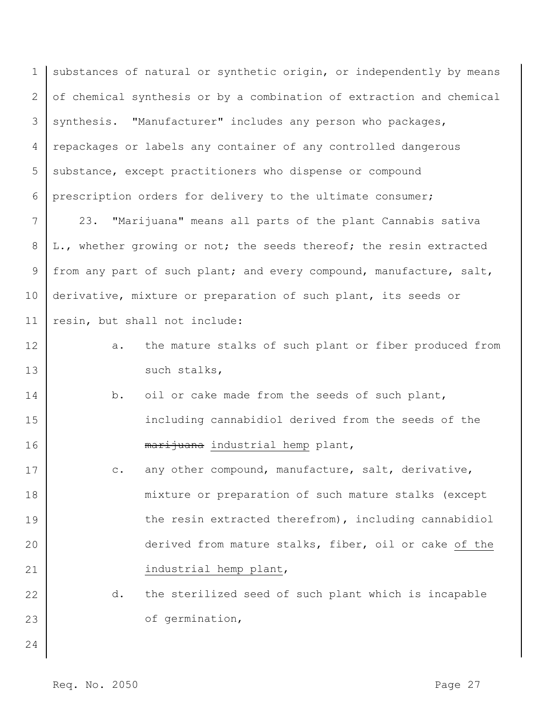1 2 3 4 5 6 substances of natural or synthetic origin, or independently by means of chemical synthesis or by a combination of extraction and chemical synthesis. "Manufacturer" includes any person who packages, repackages or labels any container of any controlled dangerous substance, except practitioners who dispense or compound prescription orders for delivery to the ultimate consumer;

7 8 9 10 11 23. "Marijuana" means all parts of the plant Cannabis sativa L., whether growing or not; the seeds thereof; the resin extracted from any part of such plant; and every compound, manufacture, salt, derivative, mixture or preparation of such plant, its seeds or resin, but shall not include:

- 12 13 a. the mature stalks of such plant or fiber produced from such stalks,
- 14 15 16 b. oil or cake made from the seeds of such plant, including cannabidiol derived from the seeds of the marijuana industrial hemp plant,
- 17 18 19 20 21 c. any other compound, manufacture, salt, derivative, mixture or preparation of such mature stalks (except the resin extracted therefrom), including cannabidiol derived from mature stalks, fiber, oil or cake of the industrial hemp plant,
	- d. the sterilized seed of such plant which is incapable of germination,
- 24

23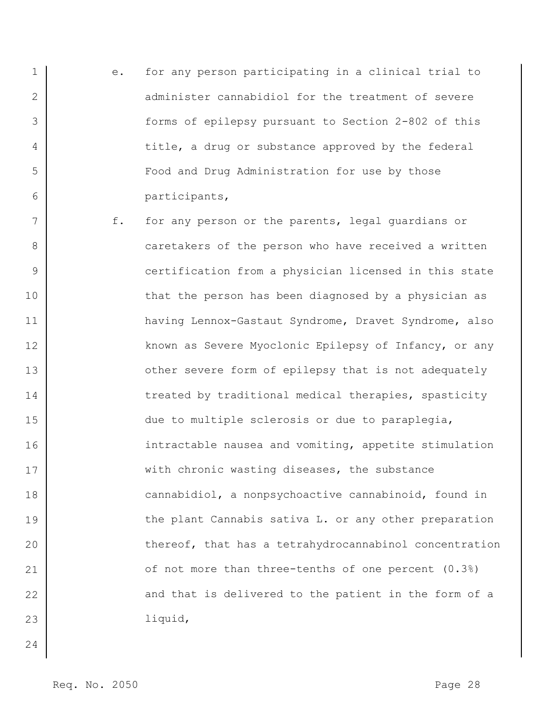- 1 2 3 4 5 6 e. for any person participating in a clinical trial to administer cannabidiol for the treatment of severe forms of epilepsy pursuant to Section 2-802 of this title, a drug or substance approved by the federal Food and Drug Administration for use by those participants,
- 7 8 9 10 11 12 13 14 15 16 17 18 19 20 21 22 23 f. for any person or the parents, legal guardians or caretakers of the person who have received a written certification from a physician licensed in this state that the person has been diagnosed by a physician as having Lennox-Gastaut Syndrome, Dravet Syndrome, also known as Severe Myoclonic Epilepsy of Infancy, or any other severe form of epilepsy that is not adequately treated by traditional medical therapies, spasticity due to multiple sclerosis or due to paraplegia, intractable nausea and vomiting, appetite stimulation with chronic wasting diseases, the substance cannabidiol, a nonpsychoactive cannabinoid, found in the plant Cannabis sativa L. or any other preparation thereof, that has a tetrahydrocannabinol concentration of not more than three-tenths of one percent (0.3%) and that is delivered to the patient in the form of a liquid,
- 24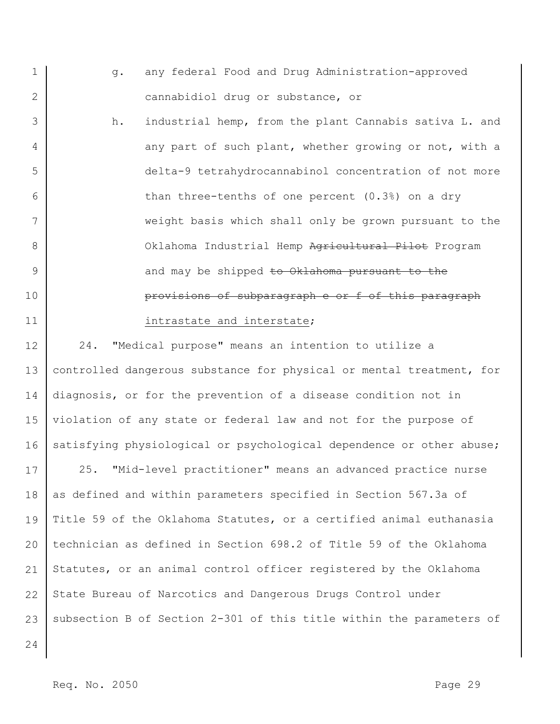- 1 2 g. any federal Food and Drug Administration-approved cannabidiol drug or substance, or
- 3 4 5 6 7 8 9 10 11 h. industrial hemp, from the plant Cannabis sativa L. and any part of such plant, whether growing or not, with a delta-9 tetrahydrocannabinol concentration of not more than three-tenths of one percent (0.3%) on a dry weight basis which shall only be grown pursuant to the Oklahoma Industrial Hemp Agricultural Pilot Program and may be shipped to Oklahoma pursuant to the provisions of subparagraph e or f of this paragraph intrastate and interstate;

12 13 14 15 16 24. "Medical purpose" means an intention to utilize a controlled dangerous substance for physical or mental treatment, for diagnosis, or for the prevention of a disease condition not in violation of any state or federal law and not for the purpose of satisfying physiological or psychological dependence or other abuse;

17 18 19 20 21 22 23 25. "Mid-level practitioner" means an advanced practice nurse as defined and within parameters specified in Section 567.3a of Title 59 of the Oklahoma Statutes, or a certified animal euthanasia technician as defined in Section 698.2 of Title 59 of the Oklahoma Statutes, or an animal control officer registered by the Oklahoma State Bureau of Narcotics and Dangerous Drugs Control under subsection B of Section 2-301 of this title within the parameters of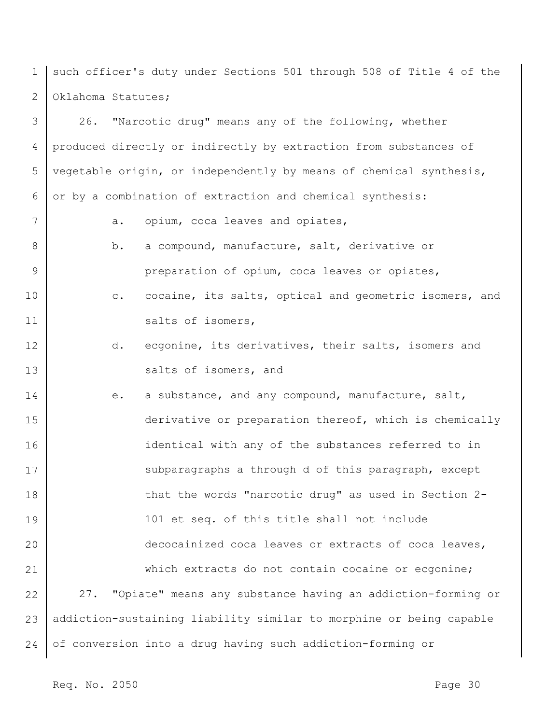1 2 such officer's duty under Sections 501 through 508 of Title 4 of the Oklahoma Statutes;

3 4 5 6 26. "Narcotic drug" means any of the following, whether produced directly or indirectly by extraction from substances of vegetable origin, or independently by means of chemical synthesis, or by a combination of extraction and chemical synthesis:

- 7 a. opium, coca leaves and opiates,
	- b. a compound, manufacture, salt, derivative or preparation of opium, coca leaves or opiates,
- 10 11 c. cocaine, its salts, optical and geometric isomers, and salts of isomers,
- 12 13 d. ecgonine, its derivatives, their salts, isomers and salts of isomers, and
- 14 15 16 17 18 19 20 21 22 23 24 e. a substance, and any compound, manufacture, salt, derivative or preparation thereof, which is chemically identical with any of the substances referred to in subparagraphs a through d of this paragraph, except that the words "narcotic drug" as used in Section 2- 101 et seq. of this title shall not include decocainized coca leaves or extracts of coca leaves, which extracts do not contain cocaine or ecgonine; 27. "Opiate" means any substance having an addiction-forming or addiction-sustaining liability similar to morphine or being capable of conversion into a drug having such addiction-forming or

8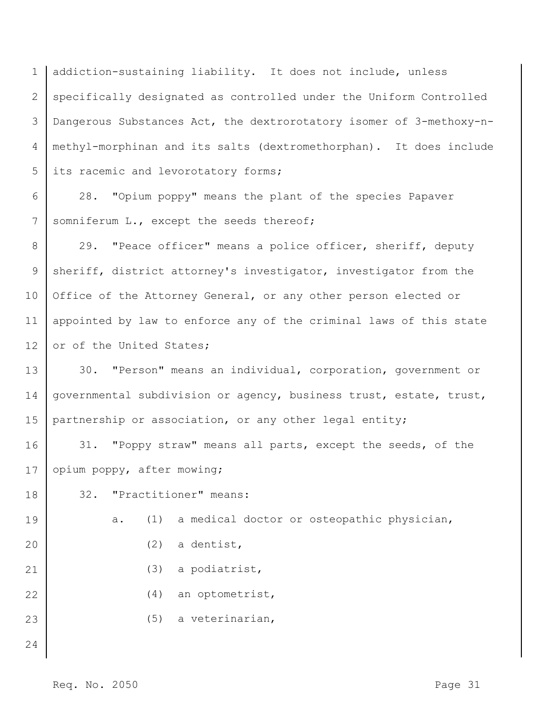1 2 3 4 5 addiction-sustaining liability. It does not include, unless specifically designated as controlled under the Uniform Controlled Dangerous Substances Act, the dextrorotatory isomer of 3-methoxy-nmethyl-morphinan and its salts (dextromethorphan). It does include its racemic and levorotatory forms;

6 7 28. "Opium poppy" means the plant of the species Papaver somniferum L., except the seeds thereof;

8 9 10 11 12 29. "Peace officer" means a police officer, sheriff, deputy sheriff, district attorney's investigator, investigator from the Office of the Attorney General, or any other person elected or appointed by law to enforce any of the criminal laws of this state or of the United States;

13 14 15 30. "Person" means an individual, corporation, government or governmental subdivision or agency, business trust, estate, trust, partnership or association, or any other legal entity;

16 17 31. "Poppy straw" means all parts, except the seeds, of the opium poppy, after mowing;

18 32. "Practitioner" means:

19 20 21 22 23 24 a. (1) a medical doctor or osteopathic physician, (2) a dentist, (3) a podiatrist, (4) an optometrist, (5) a veterinarian,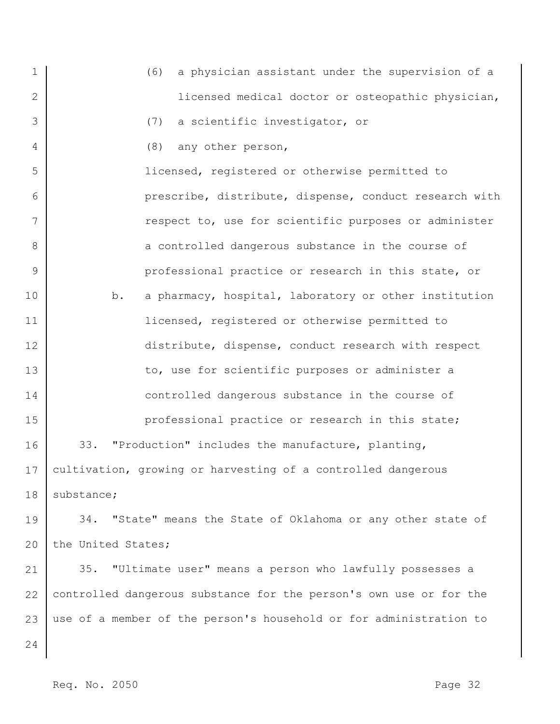1 2 3 4 5 6 7 8 9 10 11 12 13 14 15 16 17 18 19 20 21 22 23 24 (6) a physician assistant under the supervision of a licensed medical doctor or osteopathic physician, (7) a scientific investigator, or (8) any other person, licensed, registered or otherwise permitted to prescribe, distribute, dispense, conduct research with respect to, use for scientific purposes or administer a controlled dangerous substance in the course of professional practice or research in this state, or b. a pharmacy, hospital, laboratory or other institution licensed, registered or otherwise permitted to distribute, dispense, conduct research with respect to, use for scientific purposes or administer a controlled dangerous substance in the course of professional practice or research in this state; 33. "Production" includes the manufacture, planting, cultivation, growing or harvesting of a controlled dangerous substance; 34. "State" means the State of Oklahoma or any other state of the United States; 35. "Ultimate user" means a person who lawfully possesses a controlled dangerous substance for the person's own use or for the use of a member of the person's household or for administration to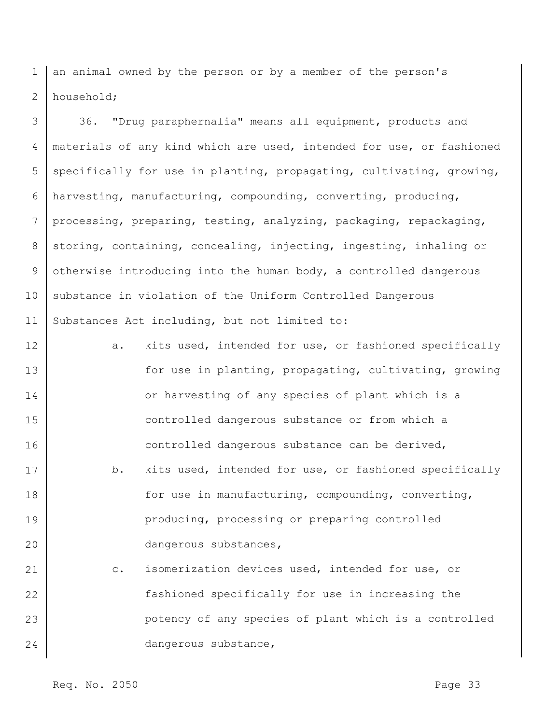1 2 an animal owned by the person or by a member of the person's household;

3 4 5 6 7 8 9 10 11 36. "Drug paraphernalia" means all equipment, products and materials of any kind which are used, intended for use, or fashioned specifically for use in planting, propagating, cultivating, growing, harvesting, manufacturing, compounding, converting, producing, processing, preparing, testing, analyzing, packaging, repackaging, storing, containing, concealing, injecting, ingesting, inhaling or otherwise introducing into the human body, a controlled dangerous substance in violation of the Uniform Controlled Dangerous Substances Act including, but not limited to:

12 13 14 15 16 17 18 19 20 21 22 23 a. kits used, intended for use, or fashioned specifically for use in planting, propagating, cultivating, growing or harvesting of any species of plant which is a controlled dangerous substance or from which a controlled dangerous substance can be derived, b. kits used, intended for use, or fashioned specifically for use in manufacturing, compounding, converting, producing, processing or preparing controlled dangerous substances, c. isomerization devices used, intended for use, or fashioned specifically for use in increasing the potency of any species of plant which is a controlled

dangerous substance,

Req. No. 2050 **Page 33**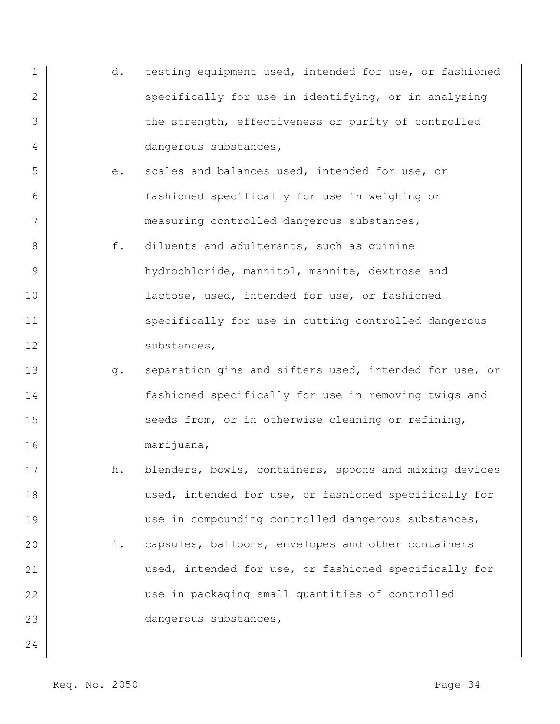- 1 2 3 4 d. testing equipment used, intended for use, or fashioned specifically for use in identifying, or in analyzing the strength, effectiveness or purity of controlled dangerous substances,
	- e. scales and balances used, intended for use, or fashioned specifically for use in weighing or measuring controlled dangerous substances,
- 8 9 10 11 12 f. diluents and adulterants, such as quinine hydrochloride, mannitol, mannite, dextrose and lactose, used, intended for use, or fashioned specifically for use in cutting controlled dangerous substances,
- 13 14 15 16 g. separation gins and sifters used, intended for use, or fashioned specifically for use in removing twigs and seeds from, or in otherwise cleaning or refining, marijuana,
- 17 18 19 20 21 22 23 h. blenders, bowls, containers, spoons and mixing devices used, intended for use, or fashioned specifically for use in compounding controlled dangerous substances, i. capsules, balloons, envelopes and other containers used, intended for use, or fashioned specifically for use in packaging small quantities of controlled dangerous substances,

24

5

6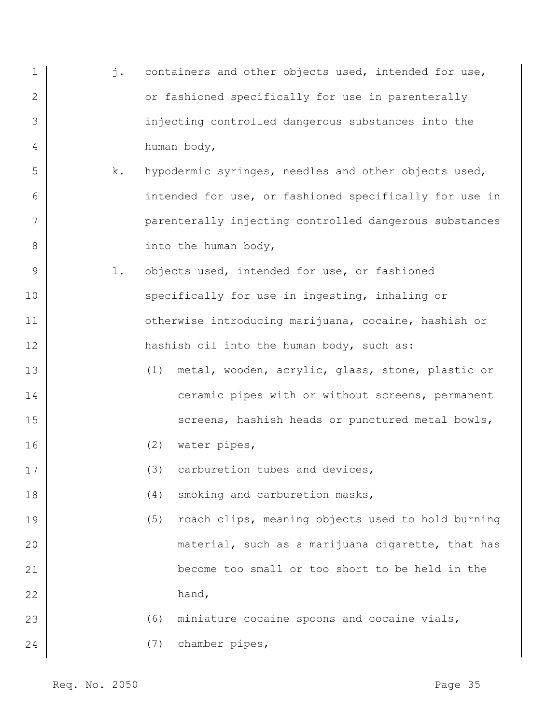- 1 2 3 4 j. containers and other objects used, intended for use, or fashioned specifically for use in parenterally injecting controlled dangerous substances into the human body,
- 5 6 7 8 k. hypodermic syringes, needles and other objects used, intended for use, or fashioned specifically for use in parenterally injecting controlled dangerous substances into the human body,
- 9 10 11 12 l. objects used, intended for use, or fashioned specifically for use in ingesting, inhaling or otherwise introducing marijuana, cocaine, hashish or hashish oil into the human body, such as:
	- (1) metal, wooden, acrylic, glass, stone, plastic or ceramic pipes with or without screens, permanent screens, hashish heads or punctured metal bowls,
		- (2) water pipes,
			- (3) carburetion tubes and devices,
		- (4) smoking and carburetion masks,
- 19 20 21 22 (5) roach clips, meaning objects used to hold burning material, such as a marijuana cigarette, that has become too small or too short to be held in the hand,

## (6) miniature cocaine spoons and cocaine vials,

(7) chamber pipes,

13

14

15

16

17

18

23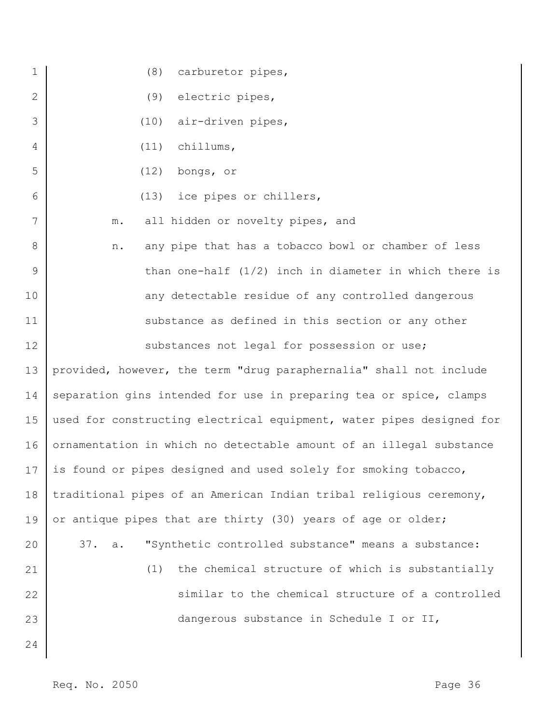| $\mathbf 1$ | (8) carburetor pipes,                                                |
|-------------|----------------------------------------------------------------------|
| 2           | (9)<br>electric pipes,                                               |
| 3           | air-driven pipes,<br>(10)                                            |
| 4           | chillums,<br>(11)                                                    |
| 5           | bongs, or<br>(12)                                                    |
| 6           | (13) ice pipes or chillers,                                          |
| 7           | all hidden or novelty pipes, and<br>${\mathfrak m}$ .                |
| 8           | any pipe that has a tobacco bowl or chamber of less<br>n.            |
| 9           | than one-half $(1/2)$ inch in diameter in which there is             |
| 10          | any detectable residue of any controlled dangerous                   |
| 11          | substance as defined in this section or any other                    |
| 12          | substances not legal for possession or use;                          |
| 13          | provided, however, the term "drug paraphernalia" shall not include   |
| 14          | separation gins intended for use in preparing tea or spice, clamps   |
| 15          | used for constructing electrical equipment, water pipes designed for |
| 16          | ornamentation in which no detectable amount of an illegal substance  |
| 17          | is found or pipes designed and used solely for smoking tobacco,      |
| 18          | traditional pipes of an American Indian tribal religious ceremony,   |
| 19          | or antique pipes that are thirty (30) years of age or older;         |
| 20          | "Synthetic controlled substance" means a substance:<br>37. a.        |
| 21          | (1) the chemical structure of which is substantially                 |
| 22          | similar to the chemical structure of a controlled                    |
| 23          | dangerous substance in Schedule I or II,                             |
| 24          |                                                                      |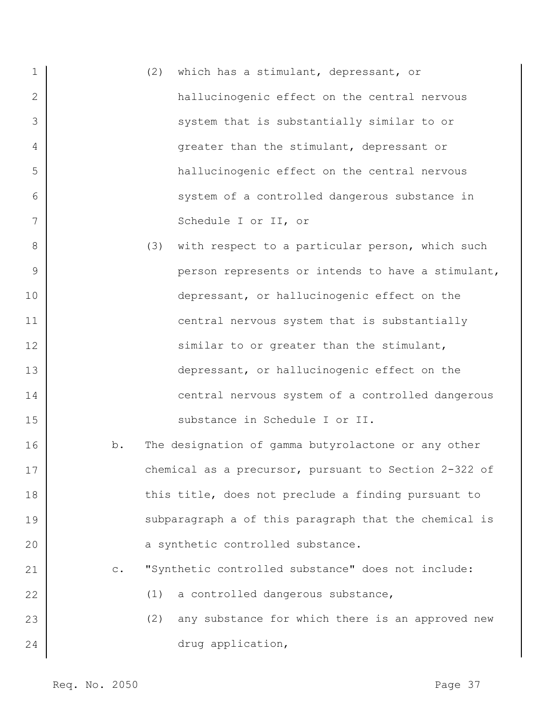| $\mathbf 1$ | which has a stimulant, depressant, or<br>(2)                         |
|-------------|----------------------------------------------------------------------|
| 2           | hallucinogenic effect on the central nervous                         |
| 3           | system that is substantially similar to or                           |
| 4           | greater than the stimulant, depressant or                            |
| 5           | hallucinogenic effect on the central nervous                         |
| 6           | system of a controlled dangerous substance in                        |
| 7           | Schedule I or II, or                                                 |
| 8           | (3)<br>with respect to a particular person, which such               |
| 9           | person represents or intends to have a stimulant,                    |
| 10          | depressant, or hallucinogenic effect on the                          |
| 11          | central nervous system that is substantially                         |
| 12          | similar to or greater than the stimulant,                            |
| 13          | depressant, or hallucinogenic effect on the                          |
| 14          | central nervous system of a controlled dangerous                     |
| 15          | substance in Schedule I or II.                                       |
| 16          | The designation of gamma butyrolactone or any other<br>b.            |
| 17          | chemical as a precursor, pursuant to Section 2-322 of                |
| 18          | this title, does not preclude a finding pursuant to                  |
| 19          | subparagraph a of this paragraph that the chemical is                |
| 20          | a synthetic controlled substance.                                    |
| 21          | "Synthetic controlled substance" does not include:<br>$\mathtt{C}$ . |
| 22          | a controlled dangerous substance,<br>(1)                             |
| 23          | (2)<br>any substance for which there is an approved new              |
| 24          | drug application,                                                    |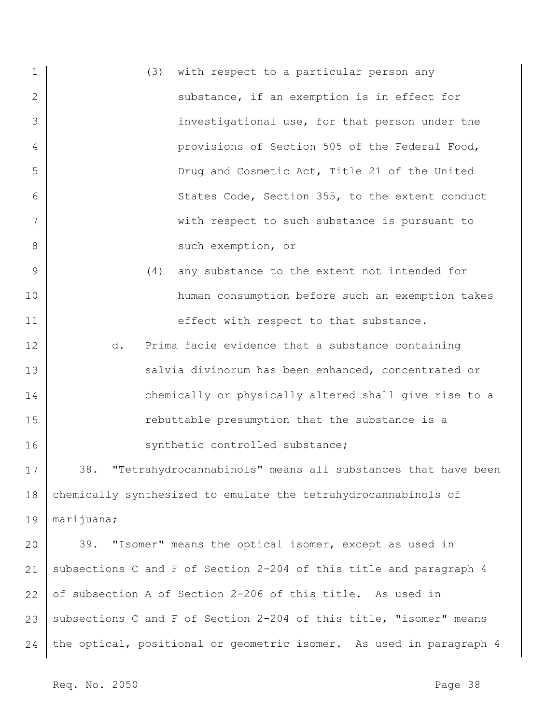1 2 3 4 5 6 7 8 (3) with respect to a particular person any substance, if an exemption is in effect for investigational use, for that person under the provisions of Section 505 of the Federal Food, Drug and Cosmetic Act, Title 21 of the United States Code, Section 355, to the extent conduct with respect to such substance is pursuant to such exemption, or

- (4) any substance to the extent not intended for human consumption before such an exemption takes effect with respect to that substance.
- 12 13 14 15 16 d. Prima facie evidence that a substance containing salvia divinorum has been enhanced, concentrated or chemically or physically altered shall give rise to a rebuttable presumption that the substance is a synthetic controlled substance;

17 18 19 38. "Tetrahydrocannabinols" means all substances that have been chemically synthesized to emulate the tetrahydrocannabinols of marijuana;

20 21 22 23 24 39. "Isomer" means the optical isomer, except as used in subsections C and F of Section 2-204 of this title and paragraph 4 of subsection A of Section 2-206 of this title. As used in subsections C and F of Section 2-204 of this title, "isomer" means the optical, positional or geometric isomer. As used in paragraph 4

Req. No. 2050 **Page 38** 

9

10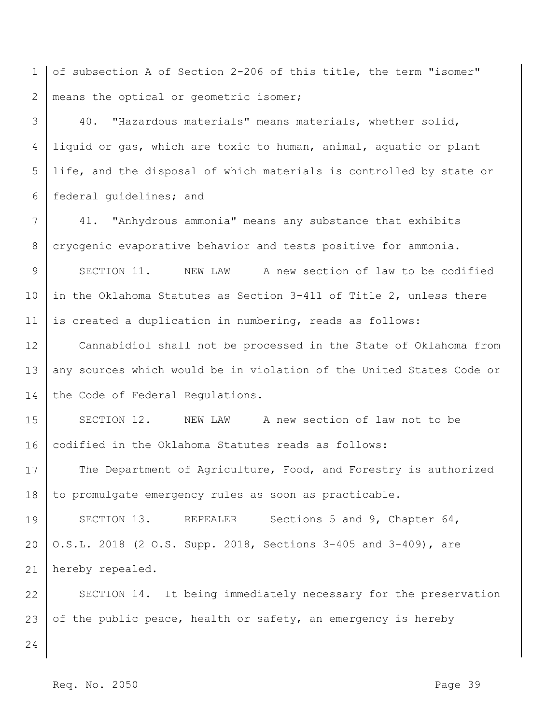1 2 of subsection A of Section 2-206 of this title, the term "isomer" means the optical or geometric isomer;

3 4 5 6 40. "Hazardous materials" means materials, whether solid, liquid or gas, which are toxic to human, animal, aquatic or plant life, and the disposal of which materials is controlled by state or federal guidelines; and

7 8 41. "Anhydrous ammonia" means any substance that exhibits cryogenic evaporative behavior and tests positive for ammonia.

9 10 11 SECTION 11. NEW LAW A new section of law to be codified in the Oklahoma Statutes as Section 3-411 of Title 2, unless there is created a duplication in numbering, reads as follows:

12 13 14 Cannabidiol shall not be processed in the State of Oklahoma from any sources which would be in violation of the United States Code or the Code of Federal Regulations.

15 16 SECTION 12. NEW LAW A new section of law not to be codified in the Oklahoma Statutes reads as follows:

17 18 The Department of Agriculture, Food, and Forestry is authorized to promulgate emergency rules as soon as practicable.

19 20 21 SECTION 13. REPEALER Sections 5 and 9, Chapter 64, O.S.L. 2018 (2 O.S. Supp. 2018, Sections 3-405 and 3-409), are hereby repealed.

22 23 SECTION 14. It being immediately necessary for the preservation of the public peace, health or safety, an emergency is hereby